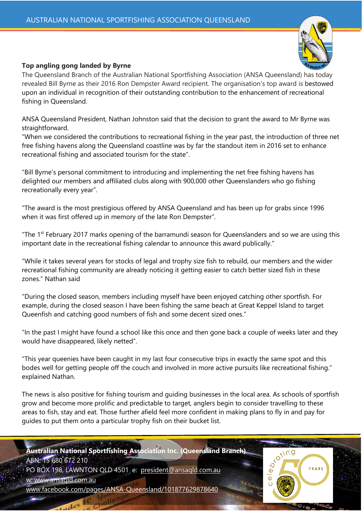

## **Top angling gong landed by Byrne**

The Queensland Branch of the Australian National Sportfishing Association (ANSA Queensland) has today revealed Bill Byrne as their 2016 Ron Dempster Award recipient. The organisation's top award is bestowed upon an individual in recognition of their outstanding contribution to the enhancement of recreational fishing in Queensland.

ANSA Queensland President, Nathan Johnston said that the decision to grant the award to Mr Byrne was straightforward.

"When we considered the contributions to recreational fishing in the year past, the introduction of three net free fishing havens along the Queensland coastline was by far the standout item in 2016 set to enhance recreational fishing and associated tourism for the state".

"Bill Byrne's personal commitment to introducing and implementing the net free fishing havens has delighted our members and affiliated clubs along with 900,000 other Queenslanders who go fishing recreationally every year".

"The award is the most prestigious offered by ANSA Queensland and has been up for grabs since 1996 when it was first offered up in memory of the late Ron Dempster".

"The 1st February 2017 marks opening of the barramundi season for Queenslanders and so we are using this important date in the recreational fishing calendar to announce this award publically."

"While it takes several years for stocks of legal and trophy size fish to rebuild, our members and the wider recreational fishing community are already noticing it getting easier to catch better sized fish in these zones." Nathan said

"During the closed season, members including myself have been enjoyed catching other sportfish. For example, during the closed season I have been fishing the same beach at Great Keppel Island to target Queenfish and catching good numbers of fish and some decent sized ones."

"In the past I might have found a school like this once and then gone back a couple of weeks later and they would have disappeared, likely netted".

"This year queenies have been caught in my last four consecutive trips in exactly the same spot and this bodes well for getting people off the couch and involved in more active pursuits like recreational fishing." explained Nathan.

The news is also positive for fishing tourism and guiding businesses in the local area. As schools of sportfish grow and become more prolific and predictable to target, anglers begin to consider travelling to these areas to fish, stay and eat. Those further afield feel more confident in making plans to fly in and pay for guides to put them onto a particular trophy fish on their bucket list.